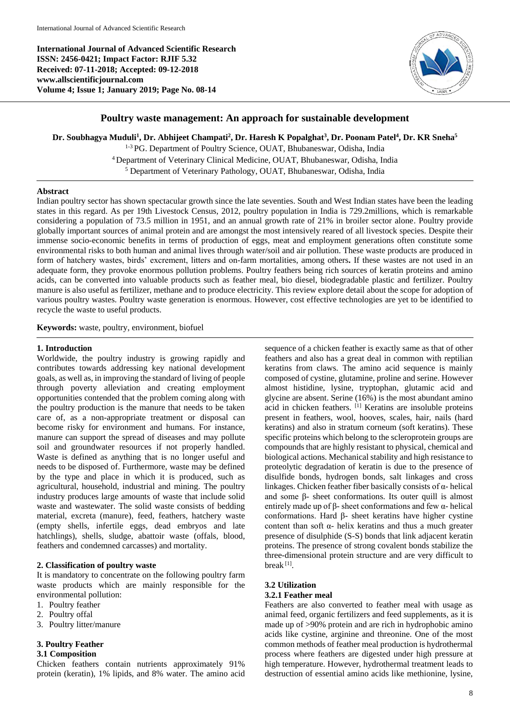**International Journal of Advanced Scientific Research ISSN: 2456-0421; Impact Factor: RJIF 5.32 Received: 07-11-2018; Accepted: 09-12-2018 www.allscientificjournal.com Volume 4; Issue 1; January 2019; Page No. 08-14**



# **Poultry waste management: An approach for sustainable development**

**Dr. Soubhagya Muduli<sup>1</sup> , Dr. Abhijeet Champati<sup>2</sup> , Dr. Haresh K Popalghat<sup>3</sup> , Dr. Poonam Patel<sup>4</sup> , Dr. KR Sneha<sup>5</sup>**

1-3 PG. Department of Poultry Science, OUAT, Bhubaneswar, Odisha, India <sup>4</sup> Department of Veterinary Clinical Medicine, OUAT, Bhubaneswar, Odisha, India <sup>5</sup> Department of Veterinary Pathology, OUAT, Bhubaneswar, Odisha, India

### **Abstract**

Indian poultry sector has shown spectacular growth since the late seventies. South and West Indian states have been the leading states in this regard. As per 19th Livestock Census, 2012, poultry population in India is 729.2millions, which is remarkable considering a population of 73.5 million in 1951, and an annual growth rate of 21% in broiler sector alone. Poultry provide globally important sources of animal protein and are amongst the most intensively reared of all livestock species. Despite their immense socio-economic benefits in terms of production of eggs, meat and employment generations often constitute some environmental risks to both human and animal lives through water/soil and air pollution. These waste products are produced in form of hatchery wastes, birds' excrement, litters and on-farm mortalities, among others**.** If these wastes are not used in an adequate form, they provoke enormous pollution problems. Poultry feathers being rich sources of keratin proteins and amino acids, can be converted into valuable products such as feather meal, bio diesel, biodegradable plastic and fertilizer. Poultry manure is also useful as fertilizer, methane and to produce electricity. This review explore detail about the scope for adoption of various poultry wastes. Poultry waste generation is enormous. However, cost effective technologies are yet to be identified to recycle the waste to useful products.

**Keywords:** waste, poultry, environment, biofuel

#### **1. Introduction**

Worldwide, the poultry industry is growing rapidly and contributes towards addressing key national development goals, as well as, in improving the standard of living of people through poverty alleviation and creating employment opportunities contended that the problem coming along with the poultry production is the manure that needs to be taken care of, as a non-appropriate treatment or disposal can become risky for environment and humans. For instance, manure can support the spread of diseases and may pollute soil and groundwater resources if not properly handled. Waste is defined as anything that is no longer useful and needs to be disposed of. Furthermore, waste may be defined by the type and place in which it is produced, such as agricultural, household, industrial and mining. The poultry industry produces large amounts of waste that include solid waste and wastewater. The solid waste consists of bedding material, excreta (manure), feed, feathers, hatchery waste (empty shells, infertile eggs, dead embryos and late hatchlings), shells, sludge, abattoir waste (offals, blood, feathers and condemned carcasses) and mortality.

### **2. Classification of poultry waste**

It is mandatory to concentrate on the following poultry farm waste products which are mainly responsible for the environmental pollution:

- 1. Poultry feather
- 2. Poultry offal
- 3. Poultry litter/manure

## **3. Poultry Feather**

### **3.1 Composition**

Chicken feathers contain nutrients approximately 91% protein (keratin), 1% lipids, and 8% water. The amino acid

sequence of a chicken feather is exactly same as that of other feathers and also has a great deal in common with reptilian keratins from claws. The amino acid sequence is mainly composed of cystine, glutamine, proline and serine. However almost histidine, lysine, tryptophan, glutamic acid and glycine are absent. Serine (16%) is the most abundant amino acid in chicken feathers. [1] Keratins are insoluble proteins present in feathers, wool, hooves, scales, hair, nails (hard keratins) and also in stratum corneum (soft keratins). These specific proteins which belong to the scleroprotein groups are compounds that are highly resistant to physical, chemical and biological actions. Mechanical stability and high resistance to proteolytic degradation of keratin is due to the presence of disulfide bonds, hydrogen bonds, salt linkages and cross linkages. Chicken feather fiber basically consists of α- helical and some β- sheet conformations. Its outer quill is almost entirely made up of β- sheet conformations and few α- helical conformations. Hard β- sheet keratins have higher cystine content than soft α- helix keratins and thus a much greater presence of disulphide (S-S) bonds that link adjacent keratin proteins. The presence of strong covalent bonds stabilize the three-dimensional protein structure and are very difficult to break<sup>[1]</sup>.

### **3.2 Utilization 3.2.1 Feather meal**

Feathers are also converted to feather meal with usage as animal feed, organic fertilizers and feed supplements, as it is made up of >90% protein and are rich in hydrophobic amino acids like cystine, arginine and threonine. One of the most common methods of feather meal production is hydrothermal process where feathers are digested under high pressure at high temperature. However, hydrothermal treatment leads to destruction of essential amino acids like methionine, lysine,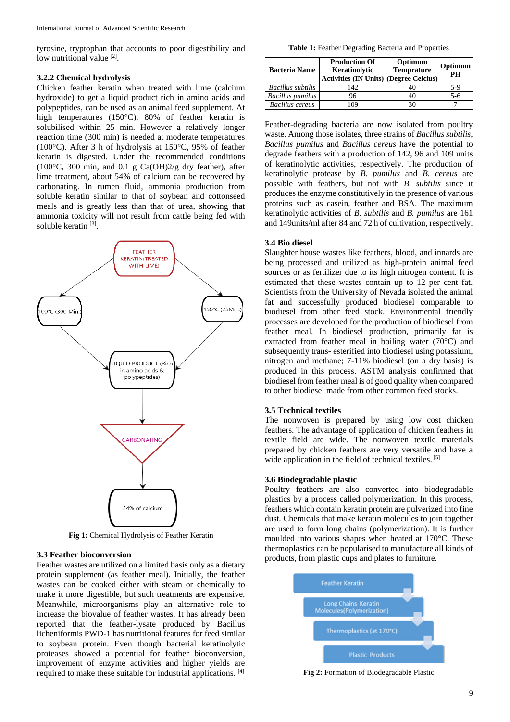tyrosine, tryptophan that accounts to poor digestibility and low nutritional value [2].

#### **3.2.2 Chemical hydrolysis**

Chicken feather keratin when treated with lime (calcium hydroxide) to get a liquid product rich in amino acids and polypeptides, can be used as an animal feed supplement. At high temperatures (150°C), 80% of feather keratin is solubilised within 25 min. However a relatively longer reaction time (300 min) is needed at moderate temperatures (100°C). After 3 h of hydrolysis at 150°C, 95% of feather keratin is digested. Under the recommended conditions (100°C, 300 min, and 0.1 g Ca(OH)2/g dry feather), after lime treatment, about 54% of calcium can be recovered by carbonating. In rumen fluid, ammonia production from soluble keratin similar to that of soybean and cottonseed meals and is greatly less than that of urea, showing that ammonia toxicity will not result from cattle being fed with soluble keratin<sup>[3]</sup>.



**Fig 1:** Chemical Hydrolysis of Feather Keratin

## **3.3 Feather bioconversion**

Feather wastes are utilized on a limited basis only as a dietary protein supplement (as feather meal). Initially, the feather wastes can be cooked either with steam or chemically to make it more digestible, but such treatments are expensive. Meanwhile, microorganisms play an alternative role to increase the biovalue of feather wastes. It has already been reported that the feather-lysate produced by Bacillus licheniformis PWD-1 has nutritional features for feed similar to soybean protein. Even though bacterial keratinolytic proteases showed a potential for feather bioconversion, improvement of enzyme activities and higher yields are required to make these suitable for industrial applications. [4]

**Table 1:** Feather Degrading Bacteria and Properties

| <b>Bacteria Name</b>    | <b>Production Of</b><br>Keratinolytic<br><b>Activities (IN Units) (Degree Celcius)</b> | Optimum<br><b>Temprature</b> | Optimum<br>PH |
|-------------------------|----------------------------------------------------------------------------------------|------------------------------|---------------|
| Bacillus subtilis       | 142                                                                                    |                              | $5-9$         |
| <b>Bacillus pumilus</b> | 96                                                                                     | 40                           | $5-6$         |
| <b>Bacillus</b> cereus  | 09                                                                                     | 30                           |               |

Feather-degrading bacteria are now isolated from poultry waste. Among those isolates, three strains of *Bacillus subtilis*, *Bacillus pumilus* and *Bacillus cereus* have the potential to degrade feathers with a production of 142, 96 and 109 units of keratinolytic activities, respectively. The production of keratinolytic protease by *B. pumilus* and *B. cereus* are possible with feathers, but not with *B. subtilis* since it produces the enzyme constitutively in the presence of various proteins such as casein, feather and BSA. The maximum keratinolytic activities of *B. subtilis* and *B. pumilus* are 161 and 149units/ml after 84 and 72 h of cultivation, respectively.

#### **3.4 Bio diesel**

Slaughter house wastes like feathers, blood, and innards are being processed and utilized as high-protein animal feed sources or as fertilizer due to its high nitrogen content. It is estimated that these wastes contain up to 12 per cent fat. Scientists from the University of Nevada isolated the animal fat and successfully produced biodiesel comparable to biodiesel from other feed stock. Environmental friendly processes are developed for the production of biodiesel from feather meal. In biodiesel production, primarily fat is extracted from feather meal in boiling water (70°C) and subsequently trans- esterified into biodiesel using potassium, nitrogen and methane; 7-11% biodiesel (on a dry basis) is produced in this process. ASTM analysis confirmed that biodiesel from feather meal is of good quality when compared to other biodiesel made from other common feed stocks.

#### **3.5 Technical textiles**

The nonwoven is prepared by using low cost chicken feathers. The advantage of application of chicken feathers in textile field are wide. The nonwoven textile materials prepared by chicken feathers are very versatile and have a wide application in the field of technical textiles. [5]

#### **3.6 Biodegradable plastic**

Poultry feathers are also converted into biodegradable plastics by a process called polymerization. In this process, feathers which contain keratin protein are pulverized into fine dust. Chemicals that make keratin molecules to join together are used to form long chains (polymerization). It is further moulded into various shapes when heated at 170°C. These thermoplastics can be popularised to manufacture all kinds of products, from plastic cups and plates to furniture.



**Fig 2:** Formation of Biodegradable Plastic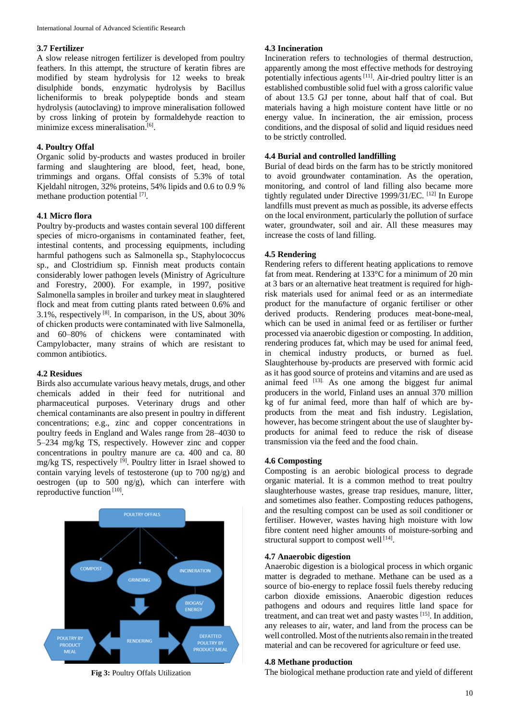## **3.7 Fertilizer**

A slow release nitrogen fertilizer is developed from poultry feathers. In this attempt, the structure of keratin fibres are modified by steam hydrolysis for 12 weeks to break disulphide bonds, enzymatic hydrolysis by Bacillus licheniformis to break polypeptide bonds and steam hydrolysis (autoclaving) to improve mineralisation followed by cross linking of protein by formaldehyde reaction to minimize excess mineralisation.<sup>[6]</sup>.

## **4. Poultry Offal**

Organic solid by-products and wastes produced in broiler farming and slaughtering are blood, feet, head, bone, trimmings and organs. Offal consists of 5.3% of total Kjeldahl nitrogen, 32% proteins, 54% lipids and 0.6 to 0.9 % methane production potential [7].

### **4.1 Micro flora**

Poultry by-products and wastes contain several 100 different species of micro-organisms in contaminated feather, feet, intestinal contents, and processing equipments, including harmful pathogens such as Salmonella sp., Staphylococcus sp., and Clostridium sp. Finnish meat products contain considerably lower pathogen levels (Ministry of Agriculture and Forestry, 2000). For example, in 1997, positive Salmonella samples in broiler and turkey meat in slaughtered flock and meat from cutting plants rated between 0.6% and 3.1%, respectively  $[8]$ . In comparison, in the US, about 30% of chicken products were contaminated with live Salmonella, and 60–80% of chickens were contaminated with Campylobacter, many strains of which are resistant to common antibiotics.

## **4.2 Residues**

Birds also accumulate various heavy metals, drugs, and other chemicals added in their feed for nutritional and pharmaceutical purposes. Veterinary drugs and other chemical contaminants are also present in poultry in different concentrations; e.g., zinc and copper concentrations in poultry feeds in England and Wales range from 28–4030 to 5–234 mg/kg TS, respectively. However zinc and copper concentrations in poultry manure are ca. 400 and ca. 80 mg/kg TS, respectively <sup>[9]</sup>. Poultry litter in Israel showed to contain varying levels of testosterone (up to 700 ng/g) and oestrogen (up to 500 ng/g), which can interfere with reproductive function [10].



**Fig 3:** Poultry Offals Utilization

## **4.3 Incineration**

Incineration refers to technologies of thermal destruction, apparently among the most effective methods for destroying potentially infectious agents<sup>[11]</sup>. Air-dried poultry litter is an established combustible solid fuel with a gross calorific value of about 13.5 GJ per tonne, about half that of coal. But materials having a high moisture content have little or no energy value. In incineration, the air emission, process conditions, and the disposal of solid and liquid residues need to be strictly controlled.

## **4.4 Burial and controlled landfilling**

Burial of dead birds on the farm has to be strictly monitored to avoid groundwater contamination. As the operation, monitoring, and control of land filling also became more tightly regulated under Directive 1999/31/EC. [12] In Europe landfills must prevent as much as possible, its adverse effects on the local environment, particularly the pollution of surface water, groundwater, soil and air. All these measures may increase the costs of land filling.

#### **4.5 Rendering**

Rendering refers to different heating applications to remove fat from meat. Rendering at 133°C for a minimum of 20 min at 3 bars or an alternative heat treatment is required for highrisk materials used for animal feed or as an intermediate product for the manufacture of organic fertiliser or other derived products. Rendering produces meat-bone-meal, which can be used in animal feed or as fertiliser or further processed via anaerobic digestion or composting. In addition, rendering produces fat, which may be used for animal feed, in chemical industry products, or burned as fuel. Slaughterhouse by-products are preserved with formic acid as it has good source of proteins and vitamins and are used as animal feed  $^{[13]}$ . As one among the biggest fur animal producers in the world, Finland uses an annual 370 million kg of fur animal feed, more than half of which are byproducts from the meat and fish industry. Legislation, however, has become stringent about the use of slaughter byproducts for animal feed to reduce the risk of disease transmission via the feed and the food chain.

#### **4.6 Composting**

Composting is an aerobic biological process to degrade organic material. It is a common method to treat poultry slaughterhouse wastes, grease trap residues, manure, litter, and sometimes also feather. Composting reduces pathogens, and the resulting compost can be used as soil conditioner or fertiliser. However, wastes having high moisture with low fibre content need higher amounts of moisture-sorbing and structural support to compost well [14].

#### **4.7 Anaerobic digestion**

Anaerobic digestion is a biological process in which organic matter is degraded to methane. Methane can be used as a source of bio-energy to replace fossil fuels thereby reducing carbon dioxide emissions. Anaerobic digestion reduces pathogens and odours and requires little land space for treatment, and can treat wet and pasty wastes [15]. In addition, any releases to air, water, and land from the process can be well controlled. Most of the nutrients also remain in the treated material and can be recovered for agriculture or feed use.

### **4.8 Methane production**

The biological methane production rate and yield of different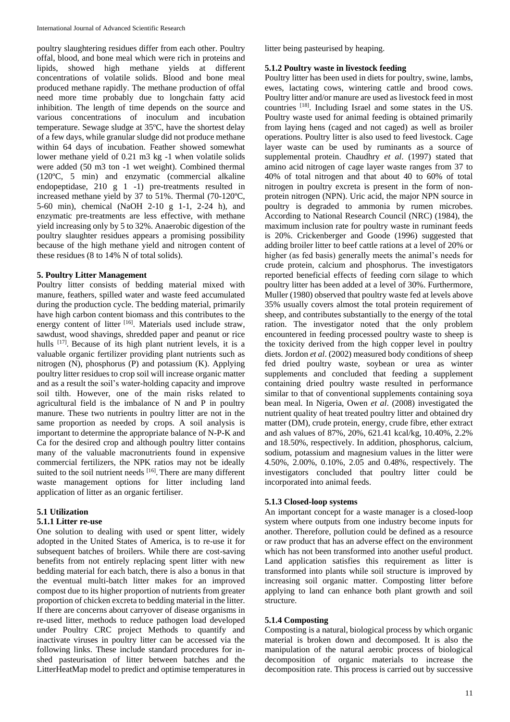poultry slaughtering residues differ from each other. Poultry offal, blood, and bone meal which were rich in proteins and lipids, showed high methane yields at different concentrations of volatile solids. Blood and bone meal produced methane rapidly. The methane production of offal need more time probably due to longchain fatty acid inhibition. The length of time depends on the source and various concentrations of inoculum and incubation temperature. Sewage sludge at 35ºC, have the shortest delay of a few days, while granular sludge did not produce methane within 64 days of incubation. Feather showed somewhat lower methane yield of 0.21 m3 kg -1 when volatile solids were added (50 m3 ton -1 wet weight). Combined thermal (120ºC, 5 min) and enzymatic (commercial alkaline endopeptidase, 210 g 1 -1) pre-treatments resulted in increased methane yield by 37 to 51%. Thermal (70-120ºC, 5-60 min), chemical (NaOH 2-10 g 1-1, 2-24 h), and enzymatic pre-treatments are less effective, with methane yield increasing only by 5 to 32%. Anaerobic digestion of the poultry slaughter residues appears a promising possibility because of the high methane yield and nitrogen content of these residues (8 to 14% N of total solids).

## **5. Poultry Litter Management**

Poultry litter consists of bedding material mixed with manure, feathers, spilled water and waste feed accumulated during the production cycle. The bedding material, primarily have high carbon content biomass and this contributes to the energy content of litter [16]. Materials used include straw, sawdust, wood shavings, shredded paper and peanut or rice hulls [17]. Because of its high plant nutrient levels, it is a valuable organic fertilizer providing plant nutrients such as nitrogen (N), phosphorus (P) and potassium (K). Applying poultry litter residues to crop soil will increase organic matter and as a result the soil's water-holding capacity and improve soil tilth. However, one of the main risks related to agricultural field is the imbalance of N and P in poultry manure. These two nutrients in poultry litter are not in the same proportion as needed by crops. A soil analysis is important to determine the appropriate balance of N-P-K and Ca for the desired crop and although poultry litter contains many of the valuable macronutrients found in expensive commercial fertilizers, the NPK ratios may not be ideally suited to the soil nutrient needs  $[16]$ . There are many different waste management options for litter including land application of litter as an organic fertiliser.

#### **5.1 Utilization 5.1.1 Litter re-use**

One solution to dealing with used or spent litter, widely adopted in the United States of America, is to re-use it for subsequent batches of broilers. While there are cost-saving benefits from not entirely replacing spent litter with new bedding material for each batch, there is also a bonus in that the eventual multi-batch litter makes for an improved compost due to its higher proportion of nutrients from greater proportion of chicken excreta to bedding material in the litter. If there are concerns about carryover of disease organisms in re-used litter, methods to reduce pathogen load developed under Poultry CRC project Methods to quantify and inactivate viruses in poultry litter can be accessed via the following links. These include standard procedures for inshed pasteurisation of litter between batches and the LitterHeatMap model to predict and optimise temperatures in litter being pasteurised by heaping.

## **5.1.2 Poultry waste in livestock feeding**

Poultry litter has been used in diets for poultry, swine, lambs, ewes, lactating cows, wintering cattle and brood cows. Poultry litter and/or manure are used as livestock feed in most countries [18] . Including Israel and some states in the US. Poultry waste used for animal feeding is obtained primarily from laying hens (caged and not caged) as well as broiler operations. Poultry litter is also used to feed livestock. Cage layer waste can be used by ruminants as a source of supplemental protein. Chaudhry *et al*. (1997) stated that amino acid nitrogen of cage layer waste ranges from 37 to 40% of total nitrogen and that about 40 to 60% of total nitrogen in poultry excreta is present in the form of nonprotein nitrogen (NPN). Uric acid, the major NPN source in poultry is degraded to ammonia by rumen microbes. According to National Research Council (NRC) (1984), the maximum inclusion rate for poultry waste in ruminant feeds is 20%. Crickenberger and Goode (1996) suggested that adding broiler litter to beef cattle rations at a level of 20% or higher (as fed basis) generally meets the animal's needs for crude protein, calcium and phosphorus. The investigators reported beneficial effects of feeding corn silage to which poultry litter has been added at a level of 30%. Furthermore, Muller (1980) observed that poultry waste fed at levels above 35% usually covers almost the total protein requirement of sheep, and contributes substantially to the energy of the total ration. The investigator noted that the only problem encountered in feeding processed poultry waste to sheep is the toxicity derived from the high copper level in poultry diets. Jordon *et al*. (2002) measured body conditions of sheep fed dried poultry waste, soybean or urea as winter supplements and concluded that feeding a supplement containing dried poultry waste resulted in performance similar to that of conventional supplements containing soya bean meal. In Nigeria, Owen *et al*. (2008) investigated the nutrient quality of heat treated poultry litter and obtained dry matter (DM), crude protein, energy, crude fibre, ether extract and ash values of 87%, 20%, 621.41 kcal/kg, 10.40%, 2.2% and 18.50%, respectively. In addition, phosphorus, calcium, sodium, potassium and magnesium values in the litter were 4.50%, 2.00%, 0.10%, 2.05 and 0.48%, respectively. The investigators concluded that poultry litter could be incorporated into animal feeds.

# **5.1.3 Closed-loop systems**

An important concept for a waste manager is a closed-loop system where outputs from one industry become inputs for another. Therefore, pollution could be defined as a resource or raw product that has an adverse effect on the environment which has not been transformed into another useful product. Land application satisfies this requirement as litter is transformed into plants while soil structure is improved by increasing soil organic matter. Composting litter before applying to land can enhance both plant growth and soil structure.

### **5.1.4 Composting**

Composting is a natural, biological process by which organic material is broken down and decomposed. It is also the manipulation of the natural aerobic process of biological decomposition of organic materials to increase the decomposition rate. This process is carried out by successive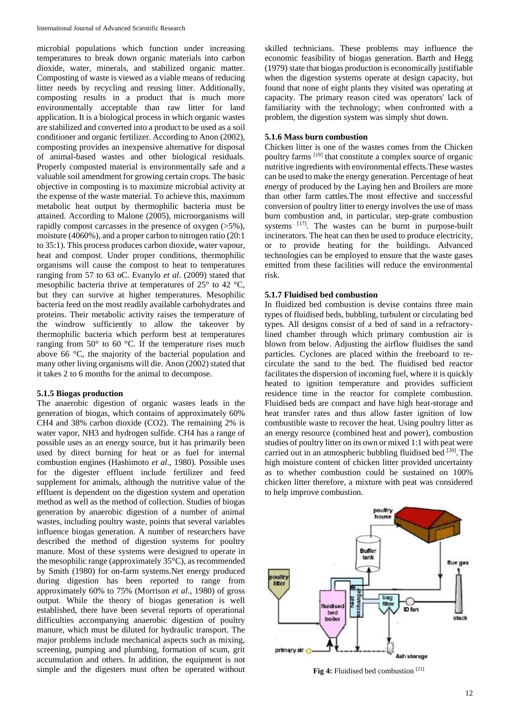microbial populations which function under increasing temperatures to break down organic materials into carbon dioxide, water, minerals, and stabilized organic matter. Composting of waste is viewed as a viable means of reducing litter needs by recycling and reusing litter. Additionally, composting results in a product that is much more environmentally acceptable than raw litter for land application. It is a biological process in which organic wastes are stabilized and converted into a product to be used as a soil conditioner and organic fertilizer. According to Anon (2002), composting provides an inexpensive alternative for disposal of animal-based wastes and other biological residuals. Properly composted material is environmentally safe and a valuable soil amendment for growing certain crops. The basic objective in composting is to maximize microbial activity at the expense of the waste material. To achieve this, maximum metabolic heat output by thermophilic bacteria must be attained. According to Malone (2005), microorganisms will rapidly compost carcasses in the presence of oxygen (>5%), moisture (4060%), and a proper carbon to nitrogen ratio (20:1 to 35:1). This process produces carbon dioxide, water vapour, heat and compost. Under proper conditions, thermophilic organisms will cause the compost to heat to temperatures ranging from 57 to 63 oC. Evanylo *et al*. (2009) stated that mesophilic bacteria thrive at temperatures of 25° to 42 °C, but they can survive at higher temperatures. Mesophilic bacteria feed on the most readily available carbohydrates and proteins. Their metabolic activity raises the temperature of the windrow sufficiently to allow the takeover by thermophilic bacteria which perform best at temperatures ranging from  $50^{\circ}$  to 60 °C. If the temperature rises much above 66 °C, the majority of the bacterial population and many other living organisms will die. Anon (2002) stated that it takes 2 to 6 months for the animal to decompose.

### **5.1.5 Biogas production**

The anaerobic digestion of organic wastes leads in the generation of biogas, which contains of approximately 60% CH4 and 38% carbon dioxide (CO2). The remaining 2% is water vapor, NH3 and hydrogen sulfide. CH4 has a range of possible uses as an energy source, but it has primarily been used by direct burning for heat or as fuel for internal combustion engines (Hashimoto *et al*., 1980). Possible uses for the digester effluent include fertilizer and feed supplement for animals, although the nutritive value of the effluent is dependent on the digestion system and operation method as well as the method of collection. Studies of biogas generation by anaerobic digestion of a number of animal wastes, including poultry waste, points that several variables influence biogas generation. A number of researchers have described the method of digestion systems for poultry manure. Most of these systems were designed to operate in the mesophilic range (approximately 35°C), as recommended by Smith (1980) for on-farm systems.Net energy produced during digestion has been reported to range from approximately 60% to 75% (Morrison *et al*., 1980) of gross output. While the theory of biogas generation is well established, there have been several reports of operational difficulties accompanying anaerobic digestion of poultry manure, which must be diluted for hydraulic transport. The major problems include mechanical aspects such as mixing, screening, pumping and plumbing, formation of scum, grit accumulation and others. In addition, the equipment is not simple and the digesters must often be operated without

skilled technicians. These problems may influence the economic feasibility of biogas generation. Barth and Hegg (1979) state that biogas production is economically justifiable when the digestion systems operate at design capacity, but found that none of eight plants they visited was operating at capacity. The primary reason cited was operators' lack of familiarity with the technology; when confronted with a problem, the digestion system was simply shut down.

## **5.1.6 Mass burn combustion**

Chicken litter is one of the wastes comes from the Chicken poultry farms [19] that constitute a complex source of organic nutritive ingredients with environmental effects.These wastes can be used to make the energy generation. Percentage of heat energy of produced by the Laying hen and Broilers are more than other farm cattles.The most effective and successful conversion of poultry litter to energy involves the use of mass burn combustion and, in particular, step-grate combustion systems [17]. The wastes can be burnt in purpose-built incinerators. The heat can then be used to produce electricity, or to provide heating for the buildings. Advanced technologies can be employed to ensure that the waste gases emitted from these facilities will reduce the environmental risk.

## **5.1.7 Fluidised bed combustion**

In fluidized bed combustion is devise contains three main types of fluidised beds, bubbling, turbulent or circulating bed types. All designs consist of a bed of sand in a refractorylined chamber through which primary combustion air is blown from below. Adjusting the airflow fluidises the sand particles. Cyclones are placed within the freeboard to recirculate the sand to the bed. The fluidised bed reactor facilitates the dispersion of incoming fuel, where it is quickly heated to ignition temperature and provides sufficient residence time in the reactor for complete combustion. Fluidised beds are compact and have high heat-storage and heat transfer rates and thus allow faster ignition of low combustible waste to recover the heat. Using poultry litter as an energy resource (combined heat and power), combustion studies of poultry litter on its own or mixed 1:1 with peat were carried out in an atmospheric bubbling fluidised bed  $[20]$ . The high moisture content of chicken litter provided uncertainty as to whether combustion could be sustained on 100% chicken litter therefore, a mixture with peat was considered to help improve combustion.



**Fig 4:** Fluidised bed combustion [21]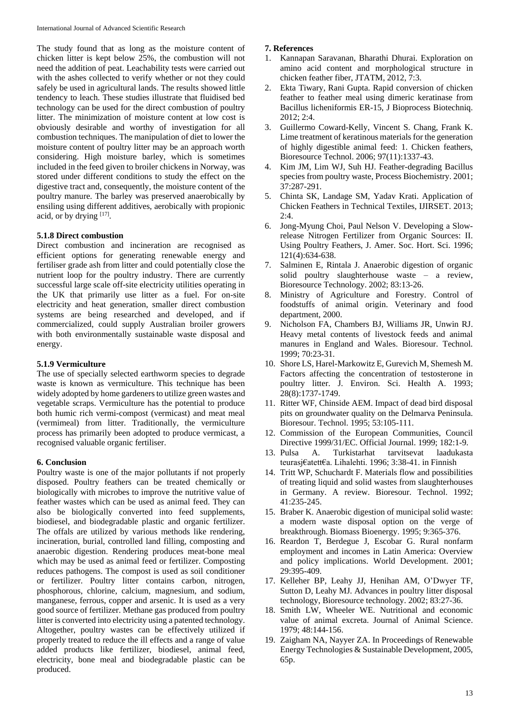The study found that as long as the moisture content of chicken litter is kept below 25%, the combustion will not need the addition of peat. Leachability tests were carried out with the ashes collected to verify whether or not they could safely be used in agricultural lands. The results showed little tendency to leach. These studies illustrate that fluidised bed technology can be used for the direct combustion of poultry litter. The minimization of moisture content at low cost is obviously desirable and worthy of investigation for all combustion techniques. The manipulation of diet to lower the moisture content of poultry litter may be an approach worth considering. High moisture barley, which is sometimes included in the feed given to broiler chickens in Norway, was stored under different conditions to study the effect on the digestive tract and, consequently, the moisture content of the poultry manure. The barley was preserved anaerobically by ensiling using different additives, aerobically with propionic acid, or by drying  $[17]$ .

# **5.1.8 Direct combustion**

Direct combustion and incineration are recognised as efficient options for generating renewable energy and fertiliser grade ash from litter and could potentially close the nutrient loop for the poultry industry. There are currently successful large scale off-site electricity utilities operating in the UK that primarily use litter as a fuel. For on-site electricity and heat generation, smaller direct combustion systems are being researched and developed, and if commercialized, could supply Australian broiler growers with both environmentally sustainable waste disposal and energy.

# **5.1.9 Vermiculture**

The use of specially selected earthworm species to degrade waste is known as vermiculture. This technique has been widely adopted by home gardeners to utilize green wastes and vegetable scraps. Vermiculture has the potential to produce both humic rich vermi-compost (vermicast) and meat meal (vermimeal) from litter. Traditionally, the vermiculture process has primarily been adopted to produce vermicast, a recognised valuable organic fertiliser.

# **6. Conclusion**

Poultry waste is one of the major pollutants if not properly disposed. Poultry feathers can be treated chemically or biologically with microbes to improve the nutritive value of feather wastes which can be used as animal feed. They can also be biologically converted into feed supplements, biodiesel, and biodegradable plastic and organic fertilizer. The offals are utilized by various methods like rendering, incineration, burial, controlled land filling, composting and anaerobic digestion. Rendering produces meat-bone meal which may be used as animal feed or fertilizer. Composting reduces pathogens. The compost is used as soil conditioner or fertilizer. Poultry litter contains carbon, nitrogen, phosphorous, chlorine, calcium, magnesium, and sodium, manganese, ferrous, copper and arsenic. It is used as a very good source of fertilizer. Methane gas produced from poultry litter is converted into electricity using a patented technology. Altogether, poultry wastes can be effectively utilized if properly treated to reduce the ill effects and a range of value added products like fertilizer, biodiesel, animal feed, electricity, bone meal and biodegradable plastic can be produced.

# **7. References**

- 1. Kannapan Saravanan, Bharathi Dhurai. Exploration on amino acid content and morphological structure in chicken feather fiber, JTATM, 2012, 7:3.
- 2. Ekta Tiwary, Rani Gupta. Rapid conversion of chicken feather to feather meal using dimeric keratinase from Bacillus licheniformis ER-15, J Bioprocess Biotechniq. 2012; 2:4.
- 3. Guillermo Coward-Kelly, Vincent S. Chang, Frank K. Lime treatment of keratinous materials for the generation of highly digestible animal feed: 1. Chicken feathers, Bioresource Technol. 2006; 97(11):1337-43.
- 4. Kim JM, Lim WJ, Suh HJ. Feather-degrading Bacillus species from poultry waste, Process Biochemistry. 2001; 37:287-291.
- 5. Chinta SK, Landage SM, Yadav Krati. Application of Chicken Feathers in Technical Textiles, IJIRSET. 2013;  $2.4$
- 6. Jong-Myung Choi, Paul Nelson V. Developing a Slowrelease Nitrogen Fertilizer from Organic Sources: II. Using Poultry Feathers, J. Amer. Soc. Hort. Sci. 1996; 121(4):634-638.
- 7. Salminen E, Rintala J. Anaerobic digestion of organic solid poultry slaughterhouse waste – a review, Bioresource Technology. 2002; 83:13-26.
- 8. Ministry of Agriculture and Forestry. Control of foodstuffs of animal origin. Veterinary and food department, 2000.
- 9. Nicholson FA, Chambers BJ, Williams JR, Unwin RJ. Heavy metal contents of livestock feeds and animal manures in England and Wales. Bioresour. Technol. 1999; 70:23-31.
- 10. Shore LS, Harel-Markowitz E, Gurevich M, Shemesh M. Factors affecting the concentration of testosterone in poultry litter. J. Environ. Sci. Health A. 1993; 28(8):1737-1749.
- 11. Ritter WF, Chinside AEM. Impact of dead bird disposal pits on groundwater quality on the Delmarva Peninsula. Bioresour. Technol. 1995; 53:105-111.
- 12. Commission of the European Communities, Council Directive 1999/31/EC. Official Journal. 1999; 182:1-9.
- 13. Pulsa A. Turkistarhat tarvitsevat laadukasta teurasj€atett€a. Lihalehti. 1996; 3:38-41. in Finnish
- 14. Tritt WP, Schuchardt F. Materials flow and possibilities of treating liquid and solid wastes from slaughterhouses in Germany. A review. Bioresour. Technol. 1992; 41:235-245.
- 15. Braber K. Anaerobic digestion of municipal solid waste: a modern waste disposal option on the verge of breakthrough. Biomass Bioenergy. 1995; 9:365-376.
- 16. Reardon T, Berdegue J, Escobar G. Rural nonfarm employment and incomes in Latin America: Overview and policy implications. World Development. 2001; 29:395-409.
- 17. Kelleher BP, Leahy JJ, Henihan AM, O'Dwyer TF, Sutton D, Leahy MJ. Advances in poultry litter disposal technology, Bioresource technology. 2002; 83:27-36.
- 18. Smith LW, Wheeler WE. Nutritional and economic value of animal excreta. Journal of Animal Science. 1979; 48:144-156.
- 19. Zaigham NA, Nayyer ZA. In Proceedings of Renewable Energy Technologies & Sustainable Development, 2005, 65p.